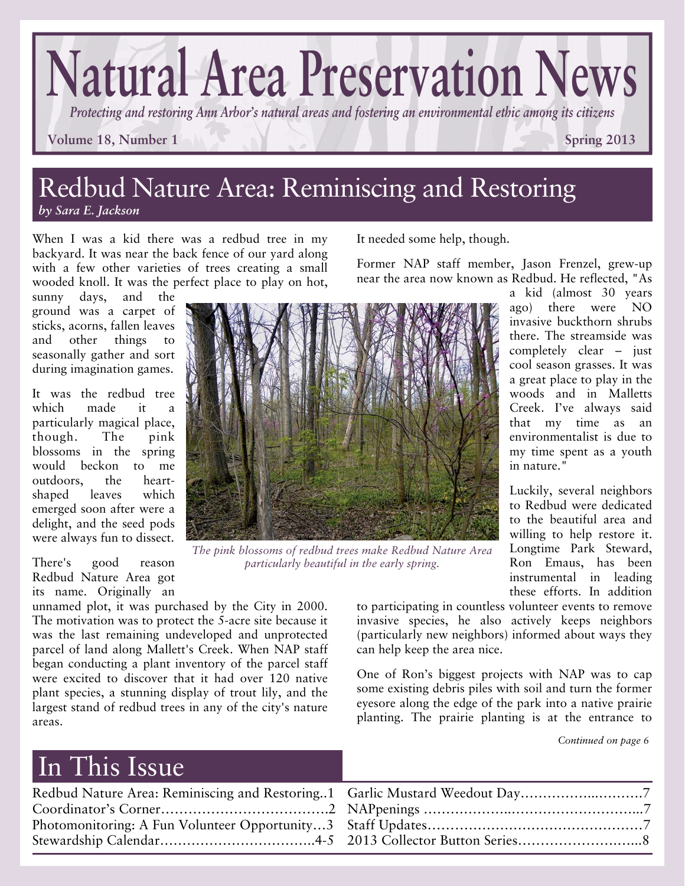# **Natural Area Preservation News**

*Protecting and restoring Ann Arbor's natural areas and fostering an environmental ethic among its citizens* 

It needed some help, though.

**Volume 18, Number 1 Spring 2013 Spring 2013** 

a kid (almost 30 years ago) there were NO invasive buckthorn shrubs there. The streamside was completely clear – just cool season grasses. It was a great place to play in the woods and in Malletts Creek. I've always said that my time as an environmentalist is due to my time spent as a youth

Luckily, several neighbors to Redbud were dedicated to the beautiful area and willing to help restore it. Longtime Park Steward, Ron Emaus, has been instrumental in leading these efforts. In addition

#### Redbud Nature Area: Reminiscing and Restoring *by Sara E. Jackson*

When I was a kid there was a redbud tree in my backyard. It was near the back fence of our yard along with a few other varieties of trees creating a small

sunny days, and the ground was a carpet of sticks, acorns, fallen leaves and other things to seasonally gather and sort during imagination games.

It was the redbud tree which made it a particularly magical place, though. The pink blossoms in the spring would beckon to me outdoors, the heartshaped leaves which emerged soon after were a delight, and the seed pods were always fun to dissect.

There's good reason Redbud Nature Area got its name. Originally an

unnamed plot, it was purchased by the City in 2000. The motivation was to protect the 5-acre site because it was the last remaining undeveloped and unprotected parcel of land along Mallett's Creek. When NAP staff began conducting a plant inventory of the parcel staff were excited to discover that it had over 120 native plant species, a stunning display of trout lily, and the largest stand of redbud trees in any of the city's nature areas.

to participating in countless volunteer events to remove invasive species, he also actively keeps neighbors (particularly new neighbors) informed about ways they can help keep the area nice.

in nature."

Former NAP staff member, Jason Frenzel, grew-up

One of Ron's biggest projects with NAP was to cap some existing debris piles with soil and turn the former eyesore along the edge of the park into a native prairie planting. The prairie planting is at the entrance to

*Continued on page 6* 

### In This Issue

| Redbud Nature Area: Reminiscing and Restoring1 Garlic Mustard Weedout Day7 |
|----------------------------------------------------------------------------|
|                                                                            |
|                                                                            |
| Stewardship Calendar4-5 2013 Collector Button Series8                      |
|                                                                            |



*The pink blossoms of redbud trees make Redbud Nature Area particularly beautiful in the early spring.* 

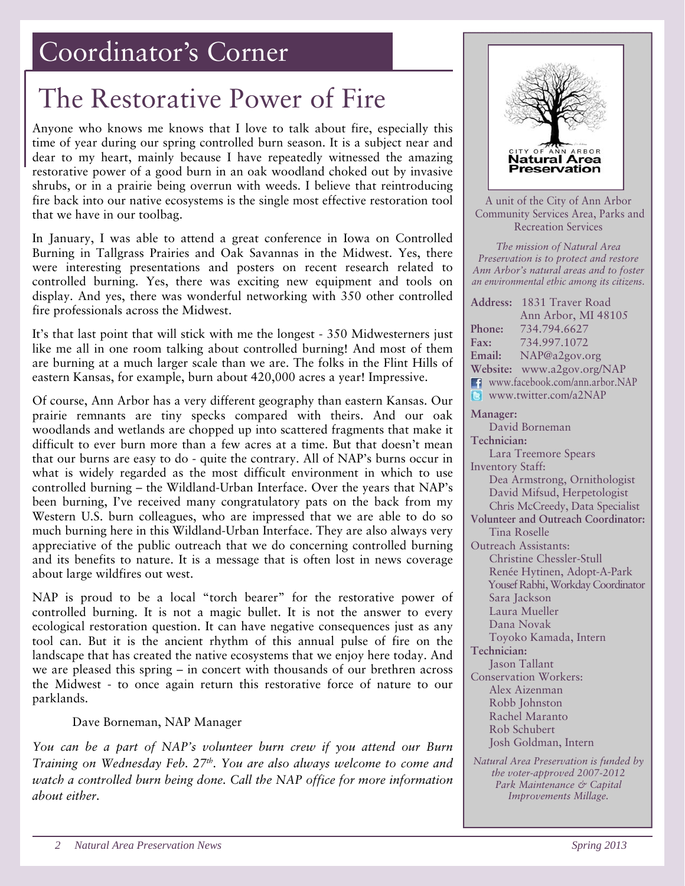### Coordinator's Corner

### The Restorative Power of Fire

Anyone who knows me knows that I love to talk about fire, especially this time of year during our spring controlled burn season. It is a subject near and dear to my heart, mainly because I have repeatedly witnessed the amazing restorative power of a good burn in an oak woodland choked out by invasive shrubs, or in a prairie being overrun with weeds. I believe that reintroducing fire back into our native ecosystems is the single most effective restoration tool that we have in our toolbag.

In January, I was able to attend a great conference in Iowa on Controlled Burning in Tallgrass Prairies and Oak Savannas in the Midwest. Yes, there were interesting presentations and posters on recent research related to controlled burning. Yes, there was exciting new equipment and tools on display. And yes, there was wonderful networking with 350 other controlled fire professionals across the Midwest.

It's that last point that will stick with me the longest - 350 Midwesterners just like me all in one room talking about controlled burning! And most of them are burning at a much larger scale than we are. The folks in the Flint Hills of eastern Kansas, for example, burn about 420,000 acres a year! Impressive.

Of course, Ann Arbor has a very different geography than eastern Kansas. Our prairie remnants are tiny specks compared with theirs. And our oak woodlands and wetlands are chopped up into scattered fragments that make it difficult to ever burn more than a few acres at a time. But that doesn't mean that our burns are easy to do - quite the contrary. All of NAP's burns occur in what is widely regarded as the most difficult environment in which to use controlled burning – the Wildland-Urban Interface. Over the years that NAP's been burning, I've received many congratulatory pats on the back from my Western U.S. burn colleagues, who are impressed that we are able to do so much burning here in this Wildland-Urban Interface. They are also always very appreciative of the public outreach that we do concerning controlled burning and its benefits to nature. It is a message that is often lost in news coverage about large wildfires out west.

NAP is proud to be a local "torch bearer" for the restorative power of controlled burning. It is not a magic bullet. It is not the answer to every ecological restoration question. It can have negative consequences just as any tool can. But it is the ancient rhythm of this annual pulse of fire on the landscape that has created the native ecosystems that we enjoy here today. And we are pleased this spring – in concert with thousands of our brethren across the Midwest - to once again return this restorative force of nature to our parklands.

Dave Borneman, NAP Manager

*You can be a part of NAP's volunteer burn crew if you attend our Burn Training on Wednesday Feb. 27<sup>th</sup>. You are also always welcome to come and watch a controlled burn being done. Call the NAP office for more information about either.* 



*the voter-approved 2007-2012 Park Maintenance & Capital Improvements Millage.*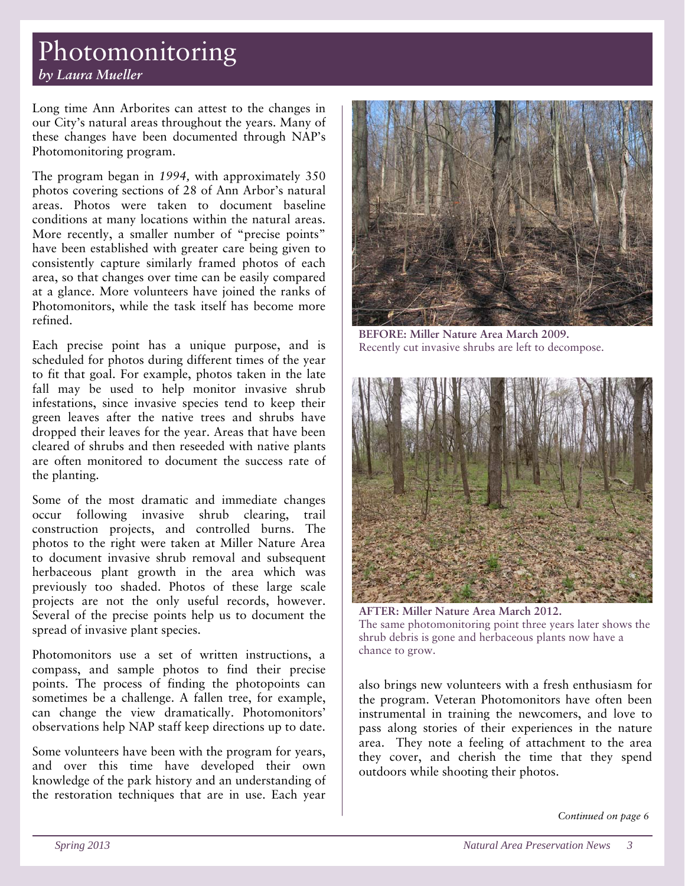#### Photomonitoring *by Laura Mueller*

Long time Ann Arborites can attest to the changes in our City's natural areas throughout the years. Many of these changes have been documented through NAP's Photomonitoring program.

The program began in *1994,* with approximately 350 photos covering sections of 28 of Ann Arbor's natural areas. Photos were taken to document baseline conditions at many locations within the natural areas. More recently, a smaller number of "precise points" have been established with greater care being given to consistently capture similarly framed photos of each area, so that changes over time can be easily compared at a glance. More volunteers have joined the ranks of Photomonitors, while the task itself has become more refined.

Each precise point has a unique purpose, and is scheduled for photos during different times of the year to fit that goal. For example, photos taken in the late fall may be used to help monitor invasive shrub infestations, since invasive species tend to keep their green leaves after the native trees and shrubs have dropped their leaves for the year. Areas that have been cleared of shrubs and then reseeded with native plants are often monitored to document the success rate of the planting.

Some of the most dramatic and immediate changes occur following invasive shrub clearing, trail construction projects, and controlled burns. The photos to the right were taken at Miller Nature Area to document invasive shrub removal and subsequent herbaceous plant growth in the area which was previously too shaded. Photos of these large scale projects are not the only useful records, however. Several of the precise points help us to document the spread of invasive plant species.

Photomonitors use a set of written instructions, a compass, and sample photos to find their precise points. The process of finding the photopoints can sometimes be a challenge. A fallen tree, for example, can change the view dramatically. Photomonitors' observations help NAP staff keep directions up to date.

Some volunteers have been with the program for years, and over this time have developed their own knowledge of the park history and an understanding of the restoration techniques that are in use. Each year



**BEFORE: Miller Nature Area March 2009.**  Recently cut invasive shrubs are left to decompose.



**AFTER: Miller Nature Area March 2012.**  The same photomonitoring point three years later shows the shrub debris is gone and herbaceous plants now have a chance to grow.

also brings new volunteers with a fresh enthusiasm for the program. Veteran Photomonitors have often been instrumental in training the newcomers, and love to pass along stories of their experiences in the nature area. They note a feeling of attachment to the area they cover, and cherish the time that they spend outdoors while shooting their photos.

*Continued on page 6*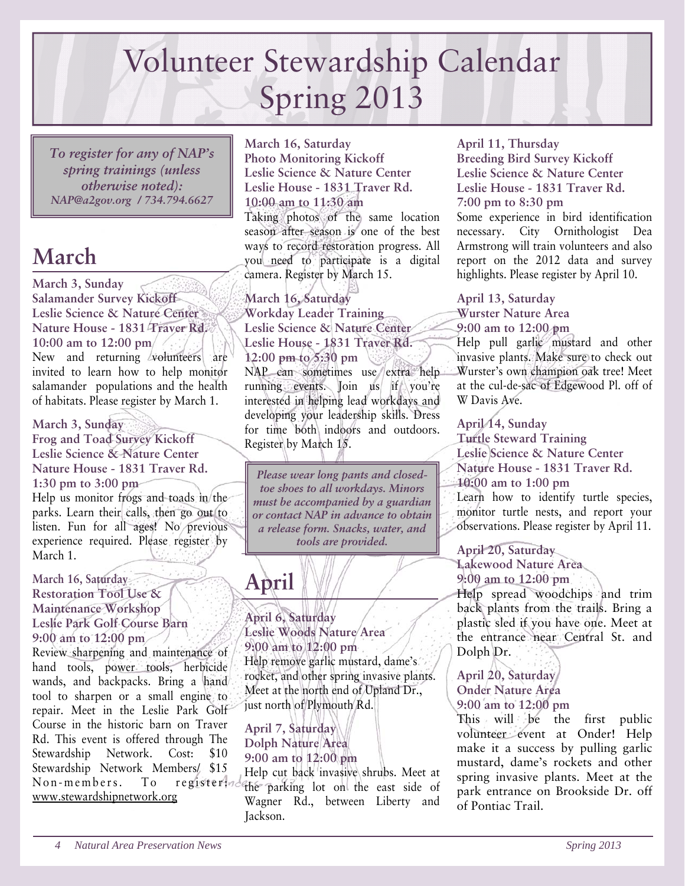## Volunteer Stewardship Calendar Spring 2013

*To register for any of NAP's spring trainings (unless otherwise noted): NAP@a2gov.org / 734.794.6627* 

### **March**

**March 3, Sunday Salamander Survey Kickoff Leslie Science & Nature Center Nature House - 1831 Traver Rd. 10:00 am to 12:00 pm** 

New and returning volunteers are invited to learn how to help monitor salamander populations and the health of habitats. Please register by March 1.

**March 3, Sunday Frog and Toad Survey Kickoff Leslie Science & Nature Center Nature House - 1831 Traver Rd. 1:30 pm to 3:00 pm** 

Help us monitor frogs and toads in the parks. Learn their calls, then go out to listen. Fun for all ages! No previous experience required. Please register by March 1.

#### **March 16, Saturday Restoration Tool Use & Maintenance Workshop Leslie Park Golf Course Barn 9:00 am to 12:00 pm**

Review sharpening and maintenance of hand tools, power tools, herbicide wands, and backpacks. Bring a hand tool to sharpen or a small engine to repair. Meet in the Leslie Park Golf Course in the historic barn on Traver Rd. This event is offered through The Stewardship Network. Cost: \$10 Stewardship Network Members/ \$15 Non-members. To register: www.stewardshipnetwork.org

**March 16, Saturday Photo Monitoring Kickoff Leslie Science & Nature Center Leslie House - 1831 Traver Rd. 10:00 am to 11:30 am**  Taking photos of the same location season after season is one of the best ways to record restoration progress. All you need to participate is a digital camera. Register by March 15.

**March 16, Saturday Workday Leader Training Leslie Science & Nature Center Leslie House - 1831 Traver Rd. 12:00 pm to 5:30 pm**  NAP can sometimes use extra help running events. Join us if you're interested in helping lead workdays and developing your leadership skills. Dress for time both indoors and outdoors. Register by March 15.

*Please wear long pants and closedtoe shoes to all workdays. Minors must be accompanied by a guardian or contact NAP in advance to obtain a release form. Snacks, water, and tools are provided.* 

### **April**

**April 6, Saturday Leslie Woods Nature Area 9:00 am to 12:00 pm**  Help remove garlic mustard, dame's rocket, and other spring invasive plants. Meet at the north end of Upland Dr., just north of Plymouth Rd.

**April 7, Saturday Dolph Nature Area 9:00 am to 12:00 pm** 

Help cut back invasive shrubs. Meet at the parking lot on the east side of Wagner Rd., between Liberty and Jackson.

#### **April 11, Thursday**

**Breeding Bird Survey Kickoff Leslie Science & Nature Center Leslie House - 1831 Traver Rd. 7:00 pm to 8:30 pm** 

Some experience in bird identification necessary. City Ornithologist Dea Armstrong will train volunteers and also report on the 2012 data and survey highlights. Please register by April 10.

**April 13, Saturday Wurster Nature Area 9:00 am to 12:00 pm** 

Help pull garlic mustard and other invasive plants. Make sure to check out Wurster's own champion oak tree! Meet at the cul-de-sac of Edgewood Pl. off of W Davis Ave.

**April 14, Sunday Turtle Steward Training Leslie Science & Nature Center Nature House - 1831 Traver Rd. 10:00 am to 1:00 pm**  Learn how to identify turtle species, monitor turtle nests, and report your observations. Please register by April 11.

**April 20, Saturday** 

**Lakewood Nature Area 9:00 am to 12:00 pm**  Help spread woodchips and trim back plants from the trails. Bring a

plastic sled if you have one. Meet at the entrance near Central St. and Dolph Dr.

**April 20, Saturday Onder Nature Area 9:00 am to 12:00 pm** 

This will be the first public volunteer event at Onder! Help make it a success by pulling garlic mustard, dame's rockets and other spring invasive plants. Meet at the park entrance on Brookside Dr. off of Pontiac Trail.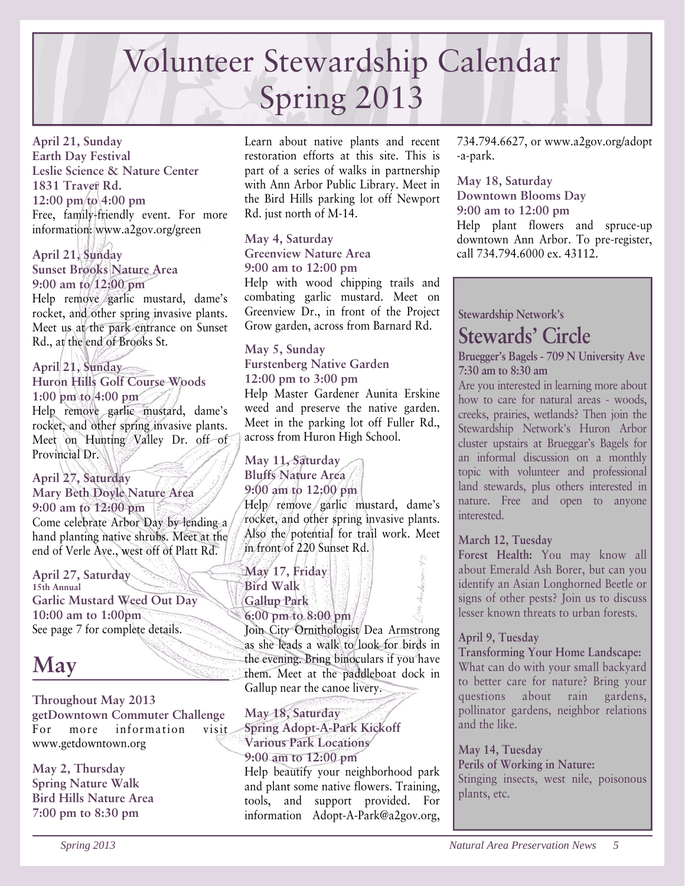# Volunteer Stewardship Calendar Spring 2013

**April 21, Sunday Earth Day Festival Leslie Science & Nature Center 1831 Traver Rd. 12:00 pm to 4:00 pm**  Free, family-friendly event. For more information: www.a2gov.org/green

**April 21, Sunday Sunset Brooks Nature Area 9:00 am to 12:00 pm**  Help remove garlic mustard, dame's rocket, and other spring invasive plants. Meet us at the park entrance on Sunset Rd., at the end of Brooks St.

**April 21, Sunday Huron Hills Golf Course Woods 1:00 pm to 4:00 pm**  Help remove garlic mustard, dame's rocket, and other spring invasive plants. Meet on Hunting Valley Dr. off of Provincial Dr.

**April 27, Saturday Mary Beth Doyle Nature Area 9:00 am to 12:00 pm** Come celebrate Arbor Day by lending a hand planting native shrubs. Meet at the end of Verle Ave., west off of Platt Rd.

**April 27, Saturday 15th Annual Garlic Mustard Weed Out Day 10:00 am to 1:00pm**  See page 7 for complete details.

### **May**

**Throughout May 2013 getDowntown Commuter Challenge** For more information visit www.getdowntown.org

**May 2, Thursday Spring Nature Walk Bird Hills Nature Area 7:00 pm to 8:30 pm** 

Learn about native plants and recent restoration efforts at this site. This is part of a series of walks in partnership with Ann Arbor Public Library. Meet in the Bird Hills parking lot off Newport Rd. just north of M-14.

#### **May 4, Saturday Greenview Nature Area 9:00 am to 12:00 pm**

Help with wood chipping trails and combating garlic mustard. Meet on Greenview Dr., in front of the Project Grow garden, across from Barnard Rd.

#### **May 5, Sunday Furstenberg Native Garden 12:00 pm to 3:00 pm**  Help Master Gardener Aunita Erskine weed and preserve the native garden. Meet in the parking lot off Fuller Rd., across from Huron High School.

#### **May 11, Saturday Bluffs Nature Area 9:00 am to 12:00 pm**

Help remove garlic mustard, dame's rocket, and other spring invasive plants. Also the potential for trail work. Meet in front of 220 Sunset Rd.

**May 17, Friday Bird Walk Gallup Park 6:00 pm to 8:00 pm**  Join City Ornithologist Dea Armstrong as she leads a walk to look for birds in the evening. Bring binoculars if you have them. Meet at the paddleboat dock in

Gallup near the canoe livery.

**May 18, Saturday Spring Adopt-A-Park Kickoff Various Park Locations 9:00 am to 12:00 pm**  Help beautify your neighborhood park and plant some native flowers. Training, tools, and support provided. For information Adopt-A-Park@a2gov.org, 734.794.6627, or www.a2gov.org/adopt -a-park.

**May 18, Saturday Downtown Blooms Day 9:00 am to 12:00 pm**  Help plant flowers and spruce-up downtown Ann Arbor. To pre-register, call 734.794.6000 ex. 43112.

**Stewardship Network's** 

### **Stewards' Circle**

**Bruegger's Bagels - 709 N University Ave 7:30 am to 8:30 am** 

Are you interested in learning more about how to care for natural areas - woods, creeks, prairies, wetlands? Then join the Stewardship Network's Huron Arbor cluster upstairs at Brueggar's Bagels for an informal discussion on a monthly topic with volunteer and professional land stewards, plus others interested in nature. Free and open to anyone interested.

#### **March 12, Tuesday**

**Forest Health:** You may know all about Emerald Ash Borer, but can you identify an Asian Longhorned Beetle or signs of other pests? Join us to discuss lesser known threats to urban forests.

#### **April 9, Tuesday**

**Transforming Your Home Landscape:** 

What can do with your small backyard to better care for nature? Bring your questions about rain gardens, pollinator gardens, neighbor relations and the like.

**May 14, Tuesday Perils of Working in Nature:**  Stinging insects, west nile, poisonous plants, etc.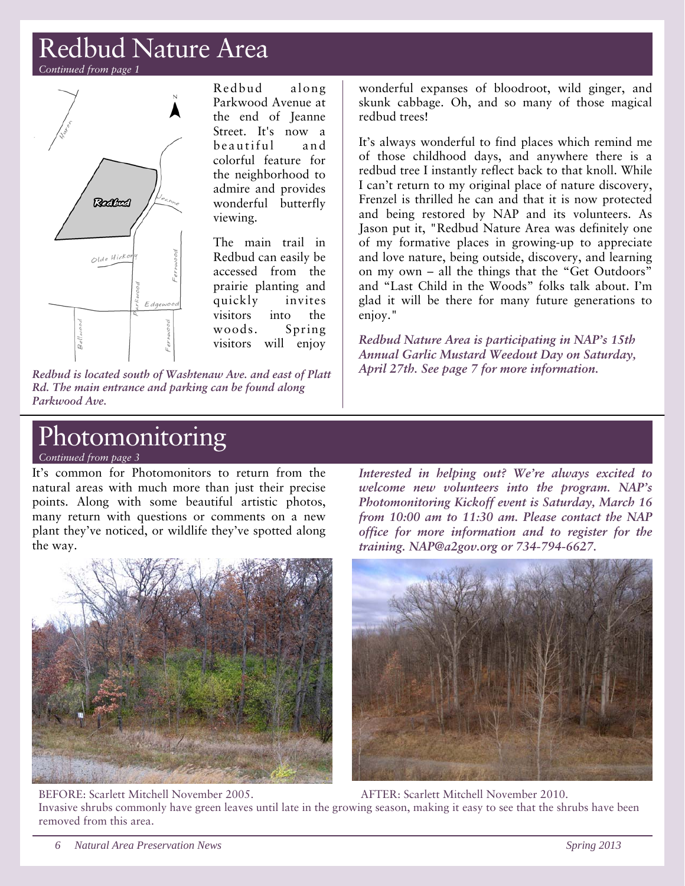### Redbud Nature Area

*Continued from page 1* 



Redbud along Parkwood Avenue at the end of Jeanne Street. It's now a beautiful and colorful feature for the neighborhood to admire and provides wonderful butterfly viewing.

The main trail in Redbud can easily be accessed from the prairie planting and quickly invites visitors into the woods. Spring visitors will enjoy

*Redbud is located south of Washtenaw Ave. and east of Platt Rd. The main entrance and parking can be found along Parkwood Ave.* 

wonderful expanses of bloodroot, wild ginger, and skunk cabbage. Oh, and so many of those magical redbud trees!

It's always wonderful to find places which remind me of those childhood days, and anywhere there is a redbud tree I instantly reflect back to that knoll. While I can't return to my original place of nature discovery, Frenzel is thrilled he can and that it is now protected and being restored by NAP and its volunteers. As Jason put it, "Redbud Nature Area was definitely one of my formative places in growing-up to appreciate and love nature, being outside, discovery, and learning on my own – all the things that the "Get Outdoors" and "Last Child in the Woods" folks talk about. I'm glad it will be there for many future generations to enjoy."

*Redbud Nature Area is participating in NAP's 15th Annual Garlic Mustard Weedout Day on Saturday, April 27th. See page 7 for more information.* 

### **Photomonitoring**

*Continued from page 3* 

It's common for Photomonitors to return from the natural areas with much more than just their precise points. Along with some beautiful artistic photos, many return with questions or comments on a new plant they've noticed, or wildlife they've spotted along the way.

*Interested in helping out? We're always excited to welcome new volunteers into the program. NAP's Photomonitoring Kickoff event is Saturday, March 16 from 10:00 am to 11:30 am. Please contact the NAP office for more information and to register for the training. NAP@a2gov.org or 734-794-6627.* 



BEFORE: Scarlett Mitchell November 2005. AFTER: Scarlett Mitchell November 2010. Invasive shrubs commonly have green leaves until late in the growing season, making it easy to see that the shrubs have been removed from this area.

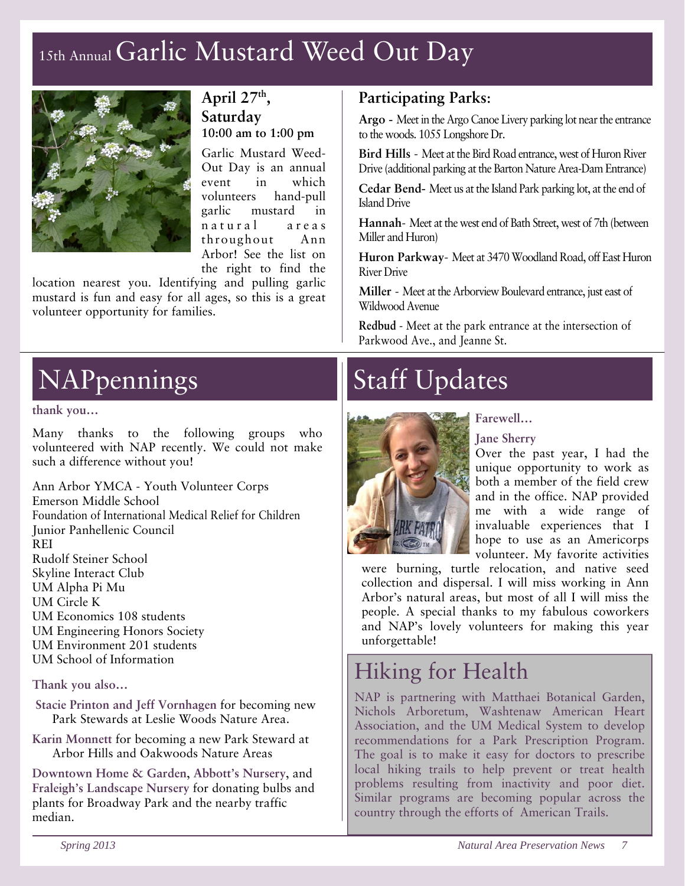### 15th Annual Garlic Mustard Weed Out Day



#### **April 27th, Saturday 10:00 am to 1:00 pm**

Garlic Mustard Weed-Out Day is an annual event in which volunteers hand-pull garlic mustard in n a tural areas throughout Ann Arbor! See the list on the right to find the

location nearest you. Identifying and pulling garlic mustard is fun and easy for all ages, so this is a great volunteer opportunity for families.

### NAPpennings

#### **thank you…**

Many thanks to the following groups who volunteered with NAP recently. We could not make such a difference without you!

Ann Arbor YMCA - Youth Volunteer Corps Emerson Middle School Foundation of International Medical Relief for Children Junior Panhellenic Council REI Rudolf Steiner School Skyline Interact Club UM Alpha Pi Mu UM Circle K UM Economics 108 students UM Engineering Honors Society UM Environment 201 students UM School of Information

#### **Thank you also…**

- **Stacie Printon and Jeff Vornhagen** for becoming new Park Stewards at Leslie Woods Nature Area.
- **Karin Monnett** for becoming a new Park Steward at Arbor Hills and Oakwoods Nature Areas

**Downtown Home & Garden**, **Abbott's Nursery**, and **Fraleigh's Landscape Nursery** for donating bulbs and plants for Broadway Park and the nearby traffic median.

#### **Participating Parks**:

**Argo -** Meet in the Argo Canoe Livery parking lot near the entrance to the woods. 1055 Longshore Dr.

**Bird Hills** - Meet at the Bird Road entrance, west of Huron River Drive (additional parking at the Barton Nature Area-Dam Entrance)

**Cedar Bend-** Meet us at the Island Park parking lot, at the end of Island Drive

**Hannah**- Meet at the west end of Bath Street, west of 7th (between Miller and Huron)

**Huron Parkway**- Meet at 3470 Woodland Road, off East Huron River Drive

**Miller** - Meet at the Arborview Boulevard entrance, just east of Wildwood Avenue

**Redbud** - Meet at the park entrance at the intersection of Parkwood Ave., and Jeanne St.

### Staff Updates



#### **Jane Sherry**

Over the past year, I had the unique opportunity to work as both a member of the field crew and in the office. NAP provided me with a wide range of invaluable experiences that I hope to use as an Americorps volunteer. My favorite activities

were burning, turtle relocation, and native seed collection and dispersal. I will miss working in Ann Arbor's natural areas, but most of all I will miss the people. A special thanks to my fabulous coworkers and NAP's lovely volunteers for making this year unforgettable!

### Hiking for Health

NAP is partnering with Matthaei Botanical Garden, Nichols Arboretum, Washtenaw American Heart Association, and the UM Medical System to develop recommendations for a Park Prescription Program. The goal is to make it easy for doctors to prescribe local hiking trails to help prevent or treat health problems resulting from inactivity and poor diet. Similar programs are becoming popular across the country through the efforts of American Trails.